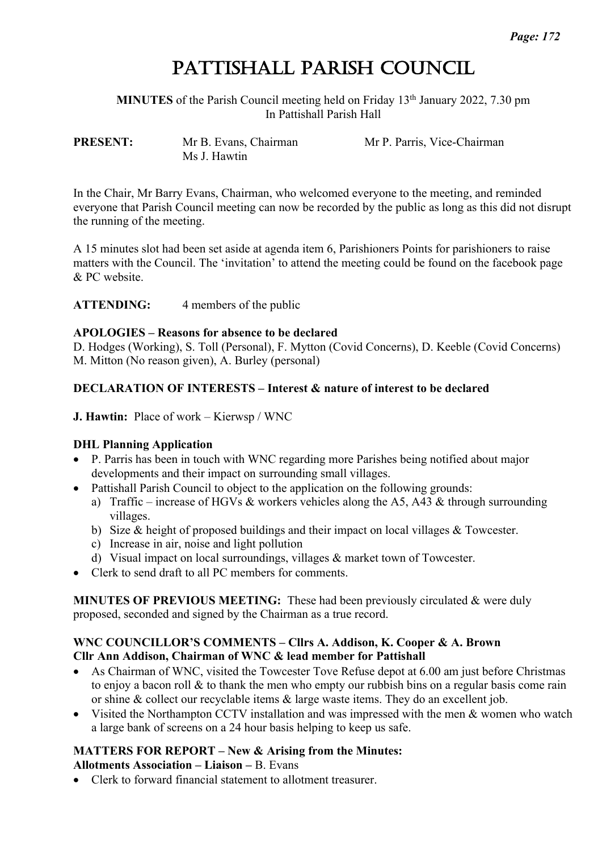# PATTISHALL PARISH COUNCIL

**MINUTES** of the Parish Council meeting held on Friday 13<sup>th</sup> January 2022, 7.30 pm In Pattishall Parish Hall

Ms J. Hawtin

**PRESENT:** Mr B. Evans, Chairman Mr P. Parris, Vice-Chairman

In the Chair, Mr Barry Evans, Chairman, who welcomed everyone to the meeting, and reminded everyone that Parish Council meeting can now be recorded by the public as long as this did not disrupt the running of the meeting.

A 15 minutes slot had been set aside at agenda item 6, Parishioners Points for parishioners to raise matters with the Council. The 'invitation' to attend the meeting could be found on the facebook page & PC website.

**ATTENDING:** 4 members of the public

# **APOLOGIES – Reasons for absence to be declared**

D. Hodges (Working), S. Toll (Personal), F. Mytton (Covid Concerns), D. Keeble (Covid Concerns) M. Mitton (No reason given), A. Burley (personal)

# **DECLARATION OF INTERESTS – Interest & nature of interest to be declared**

**J. Hawtin:** Place of work – Kierwsp / WNC

# **DHL Planning Application**

- P. Parris has been in touch with WNC regarding more Parishes being notified about major developments and their impact on surrounding small villages.
- Pattishall Parish Council to object to the application on the following grounds:
	- a) Traffic increase of HGVs & workers vehicles along the A5, A43 & through surrounding villages.
	- b) Size & height of proposed buildings and their impact on local villages & Towcester.
	- c) Increase in air, noise and light pollution
	- d) Visual impact on local surroundings, villages & market town of Towcester.
- Clerk to send draft to all PC members for comments.

**MINUTES OF PREVIOUS MEETING:** These had been previously circulated & were duly proposed, seconded and signed by the Chairman as a true record.

#### **WNC COUNCILLOR'S COMMENTS – Cllrs A. Addison, K. Cooper & A. Brown Cllr Ann Addison, Chairman of WNC & lead member for Pattishall**

- As Chairman of WNC, visited the Towcester Tove Refuse depot at 6.00 am just before Christmas to enjoy a bacon roll & to thank the men who empty our rubbish bins on a regular basis come rain or shine & collect our recyclable items & large waste items. They do an excellent job.
- Visited the Northampton CCTV installation and was impressed with the men & women who watch a large bank of screens on a 24 hour basis helping to keep us safe.

# **MATTERS FOR REPORT – New & Arising from the Minutes:**

#### **Allotments Association – Liaison –** B. Evans

• Clerk to forward financial statement to allotment treasurer.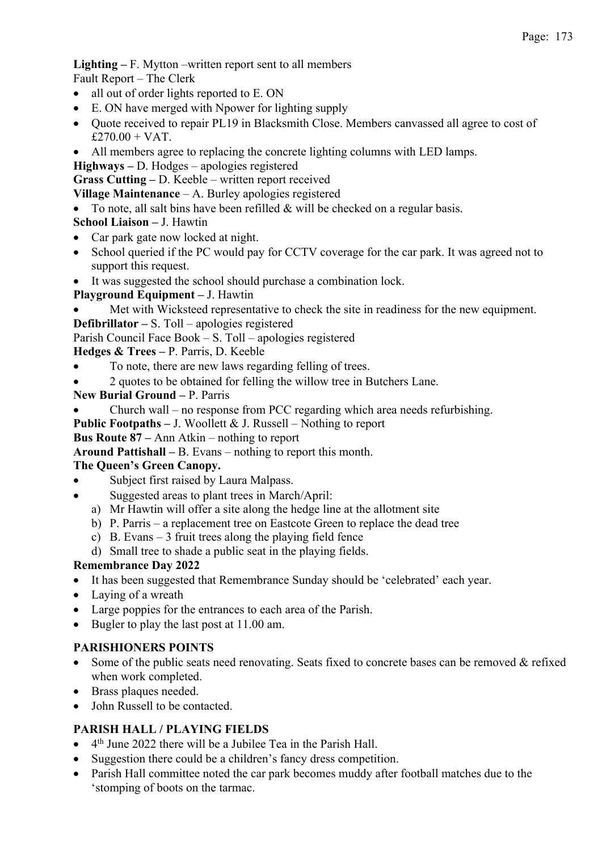**Lighting –** F. Mytton –written report sent to all members

Fault Report – The Clerk

- all out of order lights reported to E. ON
- E. ON have merged with Npower for lighting supply
- Quote received to repair PL19 in Blacksmith Close. Members canvassed all agree to cost of  $£270.00 + VAT.$
- All members agree to replacing the concrete lighting columns with LED lamps.

**Highways –** D. Hodges – apologies registered

**Grass Cutting –** D. Keeble – written report received

**Village Maintenance** – A. Burley apologies registered

• To note, all salt bins have been refilled & will be checked on a regular basis.

# **School Liaison –** J. Hawtin

- Car park gate now locked at night.
- School queried if the PC would pay for CCTV coverage for the car park. It was agreed not to support this request.
- It was suggested the school should purchase a combination lock.

# **Playground Equipment –** J. Hawtin

- Met with Wicksteed representative to check the site in readiness for the new equipment. **Defibrillator –** S. Toll – apologies registered
- Parish Council Face Book S. Toll apologies registered

# **Hedges & Trees –** P. Parris, D. Keeble

- To note, there are new laws regarding felling of trees.
- 2 quotes to be obtained for felling the willow tree in Butchers Lane.

#### **New Burial Ground –** P. Parris

• Church wall – no response from PCC regarding which area needs refurbishing.

**Public Footpaths –** J. Woollett & J. Russell – Nothing to report

#### **Bus Route 87 –** Ann Atkin – nothing to report

**Around Pattishall –** B. Evans – nothing to report this month.

# **The Queen's Green Canopy.**

- Subject first raised by Laura Malpass.
- Suggested areas to plant trees in March/April:
	- a) Mr Hawtin will offer a site along the hedge line at the allotment site
	- b) P. Parris a replacement tree on Eastcote Green to replace the dead tree
	- c) B. Evans 3 fruit trees along the playing field fence
	- d) Small tree to shade a public seat in the playing fields.

# **Remembrance Day 2022**

- It has been suggested that Remembrance Sunday should be 'celebrated' each year.
- Laying of a wreath
- Large poppies for the entrances to each area of the Parish.
- Bugler to play the last post at 11.00 am.

# **PARISHIONERS POINTS**

- Some of the public seats need renovating. Seats fixed to concrete bases can be removed & refixed when work completed.
- Brass plaques needed.
- John Russell to be contacted.

# **PARISH HALL / PLAYING FIELDS**

- $\bullet$  4<sup>th</sup> June 2022 there will be a Jubilee Tea in the Parish Hall.
- Suggestion there could be a children's fancy dress competition.
- Parish Hall committee noted the car park becomes muddy after football matches due to the 'stomping of boots on the tarmac.